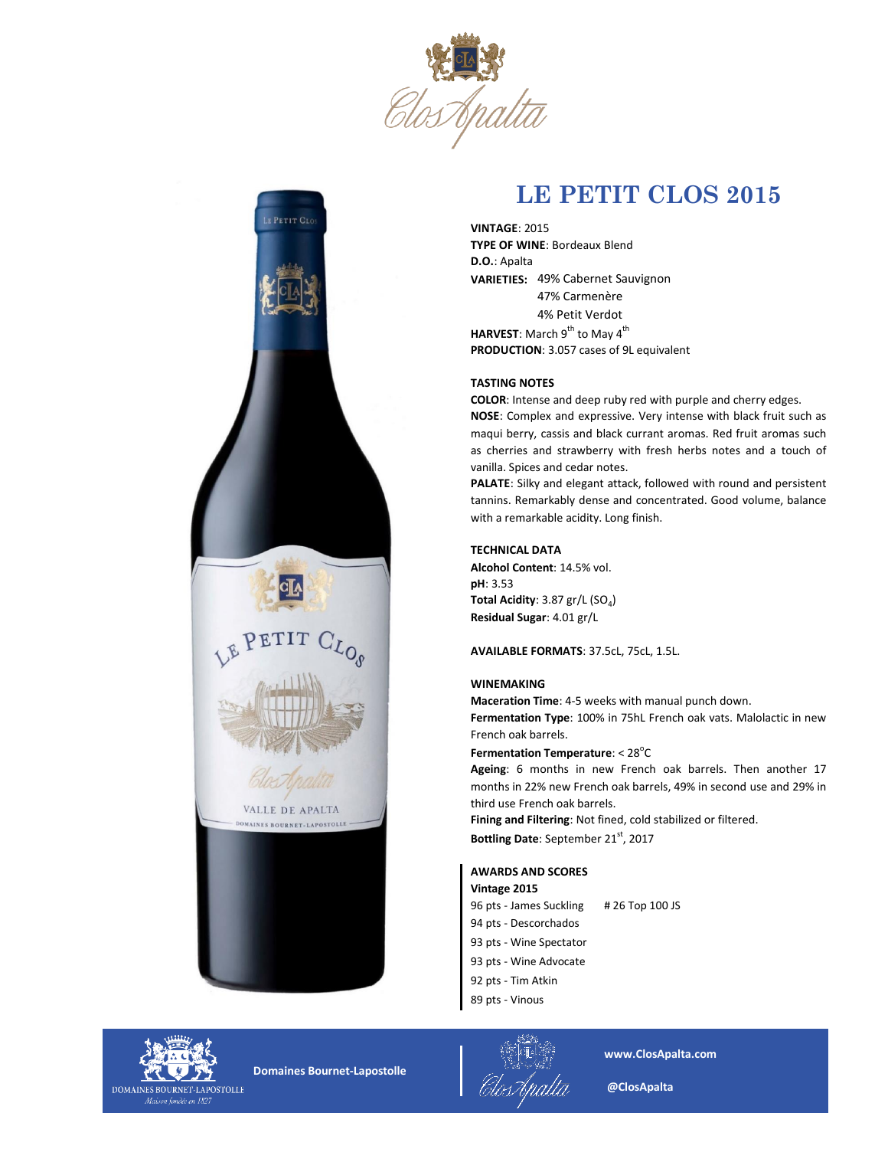



# **LE PETIT CLOS 2015**

**VARIETIES:**  49% Cabernet Sauvignon **PRODUCTION**: 3.057 cases of 9L equivalent **HARVEST:** March 9<sup>th</sup> to May 4<sup>th</sup> **VINTAGE**: 2015 **TYPE OF WINE**: Bordeaux Blend **D.O.**: Apalta 4% Petit Verdot 47% Carmenère

# **TASTING NOTES**

**NOSE**: Complex and expressive. Very intense with black fruit such as maqui berry, cassis and black currant aromas. Red fruit aromas such as cherries and strawberry with fresh herbs notes and a touch of vanilla. Spices and cedar notes. **COLOR**: Intense and deep ruby red with purple and cherry edges.

**PALATE**: Silky and elegant attack, followed with round and persistent tannins. Remarkably dense and concentrated. Good volume, balance with a remarkable acidity. Long finish.

## **TECHNICAL DATA**

**Residual Sugar**: 4.01 gr/L **Total Acidity**: 3.87 gr/L (SO<sub>4</sub>) **pH**: 3.53 **Alcohol Content**: 14.5% vol.

**AVAILABLE FORMATS**: 37.5cL, 75cL, 1.5L.

#### **WINEMAKING**

**Maceration Time**: 4-5 weeks with manual punch down. **Fermentation Type**: 100% in 75hL French oak vats. Malolactic in new French oak barrels.

**Fermentation Temperature: < 28<sup>°</sup>C** 

**Ageing**: 6 months in new French oak barrels. Then another 17 months in 22% new French oak barrels, 49% in second use and 29% in third use French oak barrels.

**Bottling Date**: September 21st, 2017 **Fining and Filtering**: Not fined, cold stabilized or filtered.

## **AWARDS AND SCORES**

**Vintage 2015** 96 pts - James Suckling # 26 Top 100 JS 94 pts - Descorchados 93 pts - Wine Spectator 93 pts - Wine Advocate 92 pts - Tim Atkin 89 pts - Vinous



 **Domaines Bournet-Lapostolle**



**www.ClosApalta.com**

 **@ClosApalta**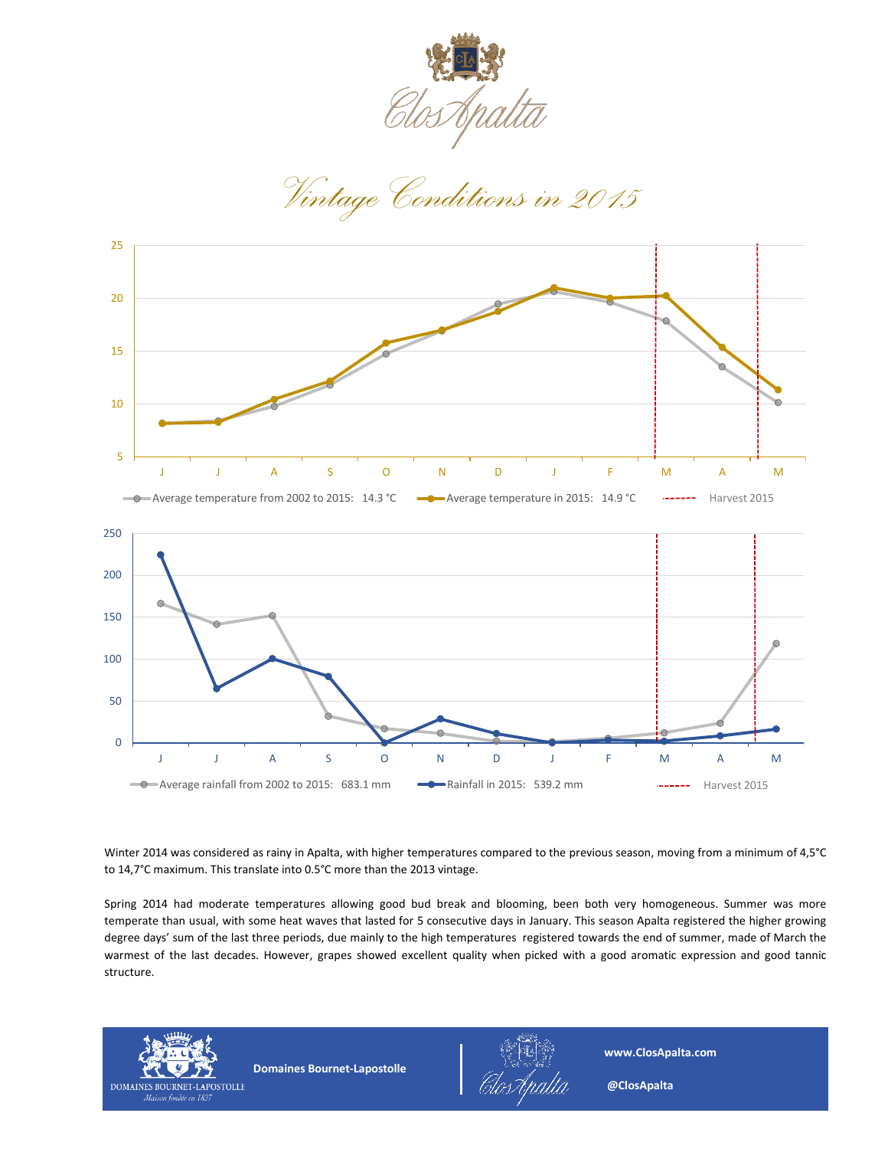

*Vintage Conditions in 2015*



Winter 2014 was considered as rainy in Apalta, with higher temperatures compared to the previous season, moving from a minimum of 4,5°C to 14,7°C maximum. This translate into 0.5°C more than the 2013 vintage.

Spring 2014 had moderate temperatures allowing good bud break and blooming, been both very homogeneous. Summer was more temperate than usual, with some heat waves that lasted for 5 consecutive days in January. This season Apalta registered the higher growing degree days' sum of the last three periods, due mainly to the high temperatures registered towards the end of summer, made of March the warmest of the last decades. However, grapes showed excellent quality when picked with a good aromatic expression and good tannic structure.



 **Domaines Bournet-Lapostolle**



**www.ClosApalta.com**

 **@ClosApalta**